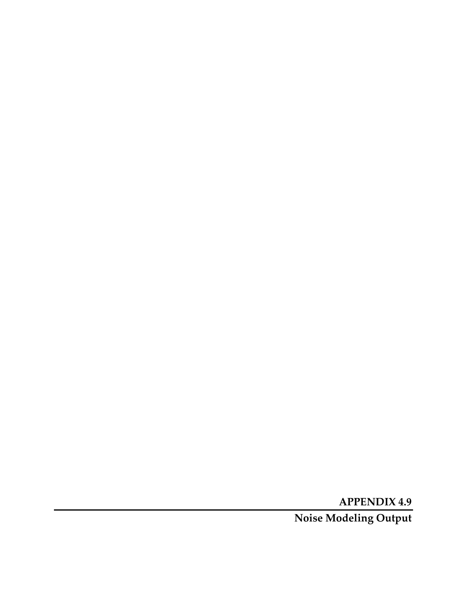**APPENDIX 4.9**

**Noise Modeling Output**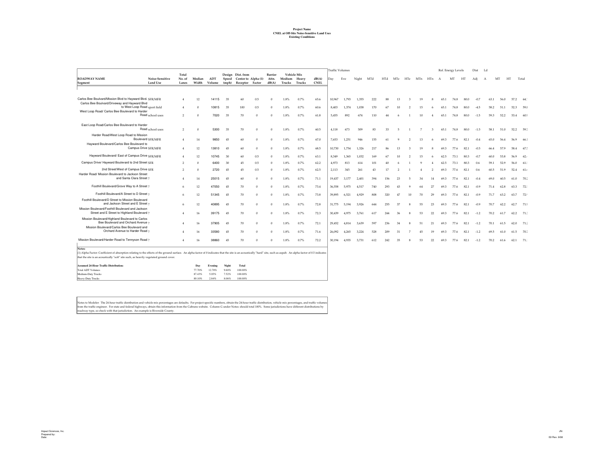|                                                                                                                                                                                                                                                                                                                   |                                    | Total                    |                 |               |                | Design Dist. from |                     | <b>Barrier</b> |                  | <b>Vehicle Mix</b> |                      | <b>Traffic Volumes</b> |       |       |     |            |                          |     |     |                          |              | Ref. Energy Levels |      | Dist   | Ld           |      |      |              |
|-------------------------------------------------------------------------------------------------------------------------------------------------------------------------------------------------------------------------------------------------------------------------------------------------------------------|------------------------------------|--------------------------|-----------------|---------------|----------------|-------------------|---------------------|----------------|------------------|--------------------|----------------------|------------------------|-------|-------|-----|------------|--------------------------|-----|-----|--------------------------|--------------|--------------------|------|--------|--------------|------|------|--------------|
| <b>ROADWAY NAME</b><br>Segment                                                                                                                                                                                                                                                                                    | Noise-Sensitive<br><b>Land Use</b> | No. of<br>Lanes          | Median<br>Width | ADT<br>Volume | Speed<br>(mph) | Receptor Factor   | Center to Alpha (1) | Attn.<br>dB(A) | Medium<br>Trucks | Heavy<br>Trucks    | dB(A)<br><b>CNEL</b> | Dav                    | Eve   | Night | MTd | <b>HTd</b> | MTe                      | HTe | MTn | HTn                      | $\mathbf{A}$ | MT                 | HT   | Adj    | $\mathbf{A}$ | MT   | HT   | Total        |
|                                                                                                                                                                                                                                                                                                                   |                                    |                          |                 |               |                |                   |                     |                |                  |                    |                      |                        |       |       |     |            |                          |     |     |                          |              |                    |      |        |              |      |      |              |
| Carlos Bee Boulvard/Mission Blvd to Hayward Blvd. SFR/MFR<br>Carlos Bee Boulvard/Driveway and Hayward Blvd                                                                                                                                                                                                        |                                    | $\overline{4}$           | 12              | 14115         | 35             | 60                | 0.5                 | $\Omega$       | 1.8%             | 0.7%               | 65.6                 | 10,967                 | 1.793 | 1,355 | 222 | 88         | 13                       | -3  | 19  | 8                        | 65.1         | 74.8               | 80.0 | $-0.7$ | 63.1         | 56.0 |      | 57.2 64.     |
| to West Loop Road sport field<br>West Loop Road/ Carlos Bee Boulevard to Harder                                                                                                                                                                                                                                   |                                    | $\overline{A}$           | $\theta$        | 10815         | 35             | 100               | 0.5                 | $\Omega$       | 1.8%             | 0.7%               | 60.6                 | 8,403                  | 1,374 | 1,038 | 170 | 67         | 10                       |     | 15  | 6                        | 65.1         | 74.8               | 80.0 | $-4.5$ | 58.2         | 51.1 | 52.3 | 59.8         |
|                                                                                                                                                                                                                                                                                                                   | Road school uses                   | $\overline{\phantom{a}}$ | $\theta$        | 7020          | 35             | 70                |                     | $\Omega$       | 1.8%             | 0.7%               | 61.8                 | 5.455                  | 892   | 674   | 110 | 44         |                          |     | 10  | $\overline{4}$           | 65.1         | 74.8               | 80.0 | $-1.5$ | 59.3         | 52.2 | 53.4 | 60.9         |
| East Loop Road/Carlos Bee Boulevard to Harder                                                                                                                                                                                                                                                                     | Road school uses                   | $\overline{z}$           | $\theta$        | 5300          | 35             | 70                |                     | $\Omega$       | 1.8%             | 0.7%               | 60.5                 | 4,118                  | 673   | 509   | 83  | 33         | 5                        |     |     | $\mathbf{3}$             | 65.1         | 74.8               | 80.0 | $-1.5$ | 58.1         | 51.0 |      | 52.2 59.7    |
| Harder Road/West Loop Road to Mission                                                                                                                                                                                                                                                                             | Boulevard SFR/MFR                  | $\overline{4}$           | 14              | 9850          | 45             | 60                |                     | $\Omega$       | 1.8%             | 0.7%               | 67.0                 | 7,653                  | 1,251 | 946   | 155 | 61         |                          |     | 13  | 6                        | 69.3         | 77.6               | 82.1 | $-0.4$ | 65.0         | 56.4 | 56.9 | 66.          |
| Hayward Boulevard/Carlos Bee Boulevard to                                                                                                                                                                                                                                                                         | Campus Drive SFR/MFR               | $\overline{4}$           | 12              | 13810         | 45             | 60                |                     | $\Omega$       | 1.8%             | 0.7%               | 68.5                 | 10,730                 | 1.754 | 1.326 | 217 | 86         | 13                       | -3  | 19  | 8                        | 69.3         | 77.6               | 82.1 | $-0.5$ | 66.4         | 57.9 | 58.4 | 67.          |
| Hayward Boulevard/ East of Campus Drive SFR/MFR                                                                                                                                                                                                                                                                   |                                    | $\overline{A}$           | 12              | 10745         | 30             | 60                | 0.5                 | $\Omega$       | 1.8%             | 0.7%               | 63.1                 | 8,349                  | 1.365 | 1.032 | 169 | 67         | 10                       |     | 15  |                          | 62.5         | 73.1               |      | $-0.7$ | 60.0         | 53.8 | 56.9 | 62.5         |
| Campus Drive/ Hayward Boulevard to 2nd Street SFR                                                                                                                                                                                                                                                                 |                                    | $\overline{\phantom{a}}$ | $\Omega$        | 6400          | 30             | 45                | 0.5                 | $\Omega$       | 1.8%             | 0.7%               | 62.2                 | 4,973                  | 813   | 614   | 101 | 40         |                          |     |     |                          | 62.5         | 73.1               |      | 0.6    | 59.1         | 52.9 | 56.0 | 61.          |
| 2nd Street/West of Campus Drive SFR                                                                                                                                                                                                                                                                               |                                    | $\overline{z}$           | $\theta$        | 2720          | 45             | 45                | 0.5                 | $\Omega$       | 1.8%             | 0.7%               | 62.5                 | 2,113                  | 345   | 261   | 43  | 17         | $\overline{\phantom{a}}$ |     |     | $\overline{\phantom{a}}$ | 69.3         | 77.6               | 82.1 | 0.6    | 60.5         | 51.9 | 52.4 | 61.          |
| Harder Road/ Mission Boulevard to Jackson Street<br>and Santa Clara Street ?                                                                                                                                                                                                                                      |                                    | $\overline{4}$           | 14              | 25015         | 45             | 60                |                     | $\Omega$       | 1.8%             | 0.7%               | 71.1                 | 19,437                 | 3,177 | 2,401 | 394 | 156        | 23                       |     | 34  | 14                       | 69.3         | 77.6               | 82.1 | $-0.4$ | 69.0         | 60.5 | 61.0 | 70.2         |
| Foothill Boulevard/Grove Way to A Street ?                                                                                                                                                                                                                                                                        |                                    | 6                        | 12              | 47050         | 45             | 70                |                     | $\Omega$       | 1.8%             | 0.7%               | 73.4                 | 36.558                 | 5.975 | 4.517 | 740 | 293        | $4^{\circ}$              | -q  | 64  | 27                       | 69.3         | 77.6               | 82.1 | $-0.9$ | 71.4         | 62.8 | 63.3 | 72.          |
| Foothill Boulevard/A Street to D Street ?                                                                                                                                                                                                                                                                         |                                    | -6                       | 12              | 51345         | 45             | 70                |                     | $\Omega$       | 1.8%             | 0.7%               | 73.8                 | 39.895                 | 6.521 | 4.929 | 808 | 320        | 47                       | 10  | 70  | 29                       | 693          | 77.6               | 82.1 | $-0.9$ | 71.7         | 63.2 | 63.7 | 72.          |
| Foothill Boulevard/D Street to Mission Boulevard<br>and Jackson Street and E Street ?                                                                                                                                                                                                                             |                                    | 6                        | 12              | 40895         | 45             | 70                |                     | $\Omega$       | 1.8%             | 0.7%               | 72.8                 | 31,775                 | 5.194 | 3,926 | 644 | 255        | 37                       | 8   | 55  | 23                       | 69.3         | 77.6               | 82.1 | $-0.9$ | 70.7         | 62.2 | 62.7 | 71.9         |
| Mission Boulevard/Foothill Boulevard and Jackson<br>Street and E Street to Highland Boulevard ?                                                                                                                                                                                                                   |                                    | $\overline{4}$           | 16              | 39175         | 45             | 70                |                     | $\Omega$       | 1.8%             | 0.7%               | 72.3                 | 30.439                 | 4.975 | 3.761 | 617 | 244        | 36                       |     | 53  | 22                       | 69.3         | 77.6               | 82.1 | $-1.2$ | 70.2         | 61.7 |      | 62.2 71.3    |
| Mission Boulevard/Highland Boulevard to Carlos<br>Bee Boulevard and Orchard Avenue ?                                                                                                                                                                                                                              |                                    | $\overline{A}$           | 16              | 37905         | 45             | 70                |                     | $\Omega$       | 1.8%             | 0.7%               | 72.1                 | 29,452                 | 4,814 | 3,639 | 597 | 236        | 34                       | 8   | 51  | 21                       | 69.3         | 77.6               | 82.1 | $-1.2$ | 70.1         | 61.5 | 62.0 | - 71.2       |
| Mission Boulevard/Carlos Bee Boulevard and<br>Orchard Avenue to Harder Road ?                                                                                                                                                                                                                                     |                                    |                          | 16              | 33580         | 45             | 70                |                     | $\Omega$       | 1.8%             | 0.7%               | 71.6                 | 26.092                 | 4,265 | 3,224 | 528 | 209        | 31                       |     | 45  | 19                       | 69.3         | 77.6               | 82.1 | $-1.2$ | 69.5         | 61.0 | 61.5 | - 70.2       |
| Mission Boulevard/Harder Road to Tennyson Road ?                                                                                                                                                                                                                                                                  |                                    | 4                        | 16              | 38860         | 45             | 70                |                     | $\Omega$       | 1.8%             | 0.7%               | 72.2                 | 30.194                 | 4.935 | 3.731 | 612 | 242        | 35                       |     | 53  | 22                       | 69.3         | 776                | 82.1 | $-1.2$ | 70.2         | 61.6 |      | $62.1$ $71.$ |
| Notes:                                                                                                                                                                                                                                                                                                            |                                    |                          |                 |               |                |                   |                     |                |                  |                    |                      |                        |       |       |     |            |                          |     |     |                          |              |                    |      |        |              |      |      |              |
| (1) Alpha Factor: Coefficient of absorption relating to the effects of the ground surface. An alpha factor of 0 indicates that the site is an acoustically "hard" site, such as aspalt. An alpha factor of 0.5 indicates<br>that the site is an acoustically "soft" site such, as heavily vegetated ground cover. |                                    |                          |                 |               |                |                   |                     |                |                  |                    |                      |                        |       |       |     |            |                          |     |     |                          |              |                    |      |        |              |      |      |              |
| <b>Assumed 24-Hour Traffic Distribution:</b>                                                                                                                                                                                                                                                                      |                                    |                          | Dav             | Evening       | Night          | Total             |                     |                |                  |                    |                      |                        |       |       |     |            |                          |     |     |                          |              |                    |      |        |              |      |      |              |
| Total ADT Volumes                                                                                                                                                                                                                                                                                                 |                                    |                          | 77.70%          | 12.70%        | 9.60%          | 100.00%           |                     |                |                  |                    |                      |                        |       |       |     |            |                          |     |     |                          |              |                    |      |        |              |      |      |              |
| Medium-Duty Trucks                                                                                                                                                                                                                                                                                                |                                    |                          | 87.43%          | 5.05%         | 7.52%          | 100.00%           |                     |                |                  |                    |                      |                        |       |       |     |            |                          |     |     |                          |              |                    |      |        |              |      |      |              |
| Heavy-Duty Trucks                                                                                                                                                                                                                                                                                                 |                                    |                          | 89 10%          | 2.84%         | 8.06%          | 100.00%           |                     |                |                  |                    |                      |                        |       |       |     |            |                          |     |     |                          |              |                    |      |        |              |      |      |              |

Notes to Modeler. The 24-hour traffic distribution and vehicle mix percentages are defaults. For project-specific numbers, obtain the 24-hour traffic distribution, vehicle mix percentages, and traffic volumes<br>from the traf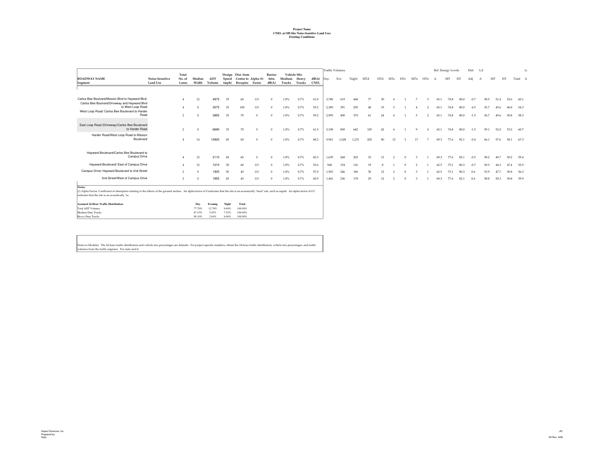|                                                                                                                                                                                                                                                                            |                                    |                          |                  |                |                |                                                             |     |                           |                  |                                |                      | Traffic Volumes |       |       |     |     |     |     |     |     |      | Ref. Energy Levels |      | Dist Ld |      |      |      | L       |
|----------------------------------------------------------------------------------------------------------------------------------------------------------------------------------------------------------------------------------------------------------------------------|------------------------------------|--------------------------|------------------|----------------|----------------|-------------------------------------------------------------|-----|---------------------------|------------------|--------------------------------|----------------------|-----------------|-------|-------|-----|-----|-----|-----|-----|-----|------|--------------------|------|---------|------|------|------|---------|
| <b>ROADWAY NAME</b><br>Segment                                                                                                                                                                                                                                             | Noise-Sensitive<br><b>Land Use</b> | Total<br>No. of<br>Lanes | Median<br>Width  | ADT<br>Volume  | Speed<br>(mph) | Design Dist. from<br>Center to Alpha (1)<br>Receptor Factor |     | Barrier<br>Attn.<br>dB(A) | Medium<br>Trucks | Vehicle Mix<br>Heavy<br>Trucks | dB(A)<br><b>CNEL</b> | Dav             | Eve   | Night | MTd | HTd | MTe | HTe | MTn | HTn | A    | MT                 | HT   | Adi     | A    | MT   | HT   | Total A |
|                                                                                                                                                                                                                                                                            |                                    |                          |                  |                |                |                                                             |     |                           |                  |                                |                      |                 |       |       |     |     |     |     |     |     |      |                    |      |         |      |      |      |         |
| Carlos Bee Boulvard/Mission Blvd to Hayward Blvd.<br>Carlos Bee Boulvard/Driveway and Hayward Blvd                                                                                                                                                                         |                                    |                          | 12               | 4875           | 35             | 60                                                          | 0.5 | $\Omega$                  | 1.8%             | 0.7%                           | 61.0                 | 3,788           | 619   | 468   | 77  |     |     |     |     |     | 65.1 | 74.8               | 80.0 | $-0.7$  | 58.5 | 51.4 | 52.6 | 60.1    |
| to West Loop Road<br>West Loop Road/ Carlos Bee Boulevard to Harder                                                                                                                                                                                                        |                                    |                          | $\theta$         | 3075           | 35             | 100                                                         | 0.5 | $\Omega$                  | 1.8%             | 0.7%                           | 55.2                 | 2,389           | 391   | 295   | 48  | 19  |     |     |     |     | 65.1 | 74.8               | 80.0 | $-4.5$  | 52.7 | 45.6 | 46.8 | 54.3    |
| Road                                                                                                                                                                                                                                                                       |                                    | $\overline{\phantom{a}}$ | $\Omega$         | 3855           | 35             | 70                                                          |     | $\Omega$                  | 1.8%             | 0.7%                           | 59.2                 | 2,995           | 490   | 370   | 61  | 24  |     |     |     |     | 65.1 | 74.8               | 80.0 | $-1.5$  | 56.7 | 49.6 | 50.8 | 58.3    |
| East Loop Road (Driveway)/Carlos Bee Boulevard<br>to Harder Road                                                                                                                                                                                                           |                                    | $\mathcal{L}$            | $\Omega$         | 6690           | 35             | 70                                                          |     | $\Omega$                  | 1.8%             | 0.7%                           | 61.5                 | 5,198           | 850   | 642   | 105 |     |     |     |     |     | 65.1 | 74.8               | 80.0 | $-1.5$  | 59.1 | 52.0 | 53.2 | 60.7    |
| Harder Road/West Loop Road to Mission<br>Boulevard                                                                                                                                                                                                                         |                                    |                          | 14               | 12820          | 45             | 60                                                          |     | $\Omega$                  | 1.8%             | 0.7%                           | 68.2                 | 9.961           | 1.628 | 1,231 | 202 | 80  | 12  |     |     |     | 69.3 | 77.6               | 82.1 | $-0.4$  | 66.1 | 57.6 | 58.1 | 67.3    |
| Hayward Boulevard/Carlos Bee Boulevard to<br>Campus Drive                                                                                                                                                                                                                  |                                    |                          | 12               | 2110           | 45             | 60                                                          |     | $\Omega$                  | 1.8%             | 0.7%                           | 60.3                 | 1,639           | 268   | 203   | 33  |     |     |     |     |     | 69.3 | 77.6               | 82.1 | $-0.5$  | 58.2 | 49.7 | 50.2 | 59.4    |
| Hayward Boulevard/ East of Campus Drive                                                                                                                                                                                                                                    |                                    |                          | 12               | 1210           | 30             | 60                                                          | 0.5 | $\Omega$                  | 1.8%             | 0.7%                           | 53.6                 | 940             | 154   | 116   | 19  |     |     |     |     |     | 62.5 | 73.1               | 80.3 | $-07$   | 50.5 | 44.3 | 47.4 | 52.9    |
| Campus Drive/ Hayward Boulevard to 2nd Street                                                                                                                                                                                                                              |                                    |                          | $\theta$         | 1935           | 30             | 45                                                          | 0.5 | $\Omega$                  | 1.8%             | 0.7%                           | 57.0                 | 1.503           | 246   | 186   | 30  | 12  |     |     |     |     | 62.5 | 73.1               | 80.3 | 0.6     | 53.9 | 47.7 | 50.8 | 56.3    |
| 2nd Street/West of Campus Drive                                                                                                                                                                                                                                            |                                    |                          | $\Omega$         | 1855           | 45             | 45                                                          | 0.5 |                           | 1.8%             | 0.7%                           | 60.9                 | 1.441           | 236   | 178   | 29  |     |     |     |     |     | 69.3 | 77.6               | 82.1 | 0.6     | 58.8 | 50.3 | 50.8 | 59.9    |
| Notes:<br>(1) Alpha Factor: Coefficient of absorption relating to the effects of the ground surface. An alpha factor of 0 indicates that the site is an acoustically "hard" site, such as aspalt. An alpha factor of 0.5<br>indicates that the site is an acoustically "so |                                    |                          |                  |                |                |                                                             |     |                           |                  |                                |                      |                 |       |       |     |     |     |     |     |     |      |                    |      |         |      |      |      |         |
| Assumed 24-Hour Traffic Distribution:                                                                                                                                                                                                                                      |                                    |                          | Day              | Evenine        | Night          | Total                                                       |     |                           |                  |                                |                      |                 |       |       |     |     |     |     |     |     |      |                    |      |         |      |      |      |         |
| Total ADT Volumes                                                                                                                                                                                                                                                          |                                    |                          | 77.70%           | 12.70%         | 9.60%          | 100.00%                                                     |     |                           |                  |                                |                      |                 |       |       |     |     |     |     |     |     |      |                    |      |         |      |      |      |         |
| Medium-Duty Trucks<br>Heavy-Duty Trucks                                                                                                                                                                                                                                    |                                    |                          | 87.43%<br>89.10% | 5.05%<br>2.84% | 7.52%<br>8.06% | 100,00%<br>100.00%                                          |     |                           |                  |                                |                      |                 |       |       |     |     |     |     |     |     |      |                    |      |         |      |      |      |         |

Notes to Modeler. The 24-hour traffic distribution and vehicle mix percentages are defaults. For project-specific numbers, obtain the 24-hour traffic distribution, vehicle mix percentages, and traffic<br>volumes from the traf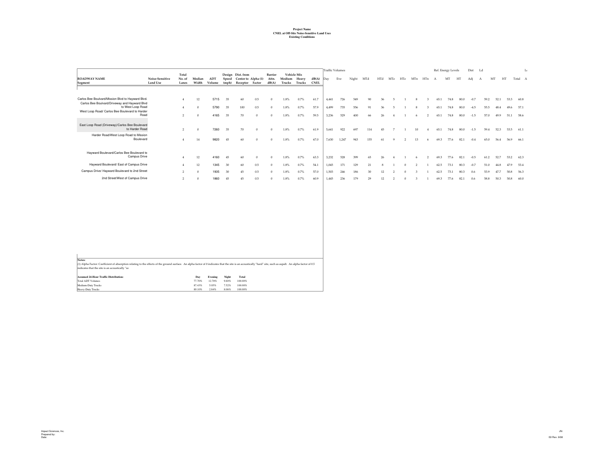|                                                                    |                                    |                          |                 |               |                |                                                             |          |                           |                                                     |      |                      | <b>Traffic Volumes</b> |       |       |     |     |     |     |     |     |                | Ref. Energy Levels |      | Dist Ld |      |      |      | L         |
|--------------------------------------------------------------------|------------------------------------|--------------------------|-----------------|---------------|----------------|-------------------------------------------------------------|----------|---------------------------|-----------------------------------------------------|------|----------------------|------------------------|-------|-------|-----|-----|-----|-----|-----|-----|----------------|--------------------|------|---------|------|------|------|-----------|
| <b>ROADWAY NAME</b><br>Segment                                     | Noise-Sensitive<br><b>Land Use</b> | Total<br>No. of<br>Lanes | Median<br>Width | ADT<br>Volume | Speed<br>(mph) | Design Dist. from<br>Center to Alpha (1)<br>Receptor Factor |          | Barrier<br>Attn.<br>dB(A) | <b>Vehicle Mix</b><br>Medium Heavy<br>Trucks Trucks |      | dB(A)<br><b>CNEL</b> | Dav                    | Eve   | Night | MTd | HTd | MTe | HTe | MTn | HTn | $\overline{A}$ | MT                 | HT   | Adi     | A    | MT   | HT   | Total A   |
|                                                                    |                                    |                          |                 |               |                |                                                             |          |                           |                                                     |      |                      |                        |       |       |     |     |     |     |     |     |                |                    |      |         |      |      |      |           |
| Carlos Bee Boulvard/Mission Blvd to Hayward Blvd.                  |                                    |                          | 12              | 5715          | 35             | 60                                                          | 0.5      |                           | 1.8%                                                | 0.7% | 61.7                 | 4,441                  | 726   | 549   | 90  | 36  |     |     |     |     | 65.1           | 74.8               | 80.0 | $-0.7$  | 59.2 | 52.1 | 53.3 | 60.8      |
| Carlos Bee Boulvard/Driveway and Hayward Blvd<br>to West Loop Road |                                    | $\overline{4}$           | $\Omega$        | 5790          | 35             | 100                                                         | 0.5      | $\Omega$                  | 1.8%                                                | 0.7% | 57.9                 | 4.499                  | 735   | 556   | 91  | 36  |     |     |     |     | 65.1           | 74.8               | 80.0 | $-4.5$  | 55.5 | 48.4 | 49.6 | 57.1      |
| West Loop Road/ Carlos Bee Boulevard to Harder<br>Road             |                                    | 2                        | $\Omega$        | 4165          | 35             | 70                                                          | $\Omega$ | $\theta$                  | 1.8%                                                | 0.7% | 59.5                 | 3.236                  | 529   | 400   | 66  | 26  |     |     |     |     | 65.1           | 74.8               | 80.0 | $-1.5$  | 57.0 | 49.9 |      | 51.1 58.6 |
|                                                                    |                                    |                          |                 |               |                |                                                             |          |                           |                                                     |      |                      |                        |       |       |     |     |     |     |     |     |                |                    |      |         |      |      |      |           |
| East Loop Road (Driveway)/Carlos Bee Boulevard<br>to Harder Road   |                                    | $\overline{2}$           |                 | 7260          | 35             | 70                                                          | $\Omega$ |                           | 1.8%                                                | 0.7% | 61.9                 | 5,641                  | 922   | 697   | 114 |     |     |     | 10  |     | 65.1           | 74.8               | 80.0 | $-1.5$  | 59.4 | 52.3 | 53.5 | 61.1      |
| Harder Road/West Loop Road to Mission<br>Boulevard                 |                                    |                          | 14              | 9820          | 45             | 60                                                          |          |                           | 1.8%                                                | 0.7% | 67.0                 | 7.630                  | 1.247 | 943   | 155 | 61  |     |     | 13  |     | 69.3           | 77.6               | 82.1 | $-0.4$  | 65.0 | 564  | 56.9 | 66.1      |
| Hayward Boulevard/Carlos Bee Boulevard to                          |                                    |                          |                 |               |                |                                                             |          |                           |                                                     |      |                      |                        |       |       |     |     |     |     |     |     |                |                    |      |         |      |      |      |           |
| Campus Drive                                                       |                                    |                          | 12              | 4160          | 45             | 60                                                          |          |                           | 1.8%                                                | 0.7% | 63.3                 | 3,232                  | 528   | 399   | 65  | 26  |     |     |     |     | 69.3           | 77.6               | 82.1 | $-0.5$  | 61.2 | 52.7 | 53.2 | 62.3      |
| Hayward Boulevard/ East of Campus Drive                            |                                    |                          | 12              | 1345          | 30             | 60                                                          | 0.5      |                           | 1.8%                                                | 0.7% | 54.1                 | 1.045                  | 171   | 129   | 21  |     |     |     |     |     | 62.5           | 73.1               | 80.3 | $-07$   | 51.0 | 448  | 47.9 | 53.4      |
| Campus Drive/ Hayward Boulevard to 2nd Street                      |                                    | $\overline{2}$           | $\Omega$        | 1935          | 30             | 45                                                          | 0.5      |                           | 1.8%                                                | 0.7% | 57.0                 | 1,503                  | 246   | 186   | 30  | 12  |     |     |     |     | 62.5           | 73.1               | 80.3 | 0.6     | 53.9 | 47.7 | 50.8 | 56.3      |
| 2nd Street/West of Campus Drive                                    |                                    | $\mathcal{P}$            | $\Omega$        | 1860          | 45             | 45                                                          | 0.5      |                           | 1.8%                                                | 0.7% | 60.9                 | 1.445                  | 236   | 179   | 29  | 12  |     |     |     |     | 69.3           | 776                | 82.1 | 0.6     | 58.8 | 50.3 | 50.8 | 60.0      |
|                                                                    |                                    |                          |                 |               |                |                                                             |          |                           |                                                     |      |                      |                        |       |       |     |     |     |     |     |     |                |                    |      |         |      |      |      |           |
|                                                                    |                                    |                          |                 |               |                |                                                             |          |                           |                                                     |      |                      |                        |       |       |     |     |     |     |     |     |                |                    |      |         |      |      |      |           |
|                                                                    |                                    |                          |                 |               |                |                                                             |          |                           |                                                     |      |                      |                        |       |       |     |     |     |     |     |     |                |                    |      |         |      |      |      |           |

| Notes:<br>(1) Alpha Factor: Coefficient of absorption relating to the effects of the ground surface. An alpha factor of 0 indicates that the site is an acoustically "hard" site, such as aspalt. An alpha factor of 0.5 |        |         |       |              |  |
|--------------------------------------------------------------------------------------------------------------------------------------------------------------------------------------------------------------------------|--------|---------|-------|--------------|--|
| indicates that the site is an acoustically "so                                                                                                                                                                           |        |         |       |              |  |
| <b>Assumed 24-Hour Traffic Distribution:</b>                                                                                                                                                                             | Dav    | Evening | Night | <b>Total</b> |  |
| Total ADT Volumes                                                                                                                                                                                                        | 77.70% | 12.70%  | 9.60% | 100.00%      |  |
| Medium-Duty Trucks                                                                                                                                                                                                       | 87.43% | 5.05%   | 7.52% | 100.00%      |  |
| Heavy-Duty Trucks                                                                                                                                                                                                        | 89.10% | 2.84%   | 8.06% | 100.00%      |  |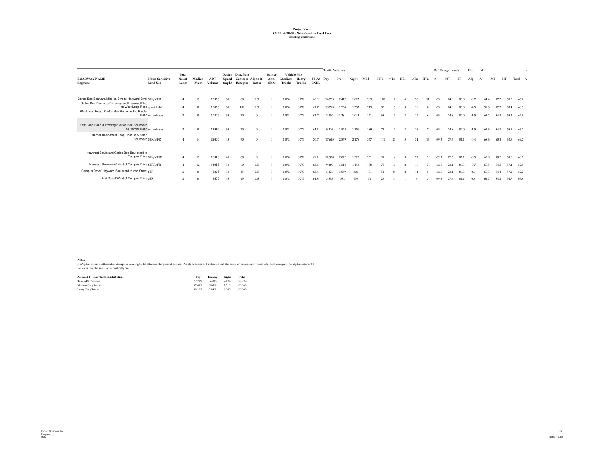|                                                                                 |                                    |                          |                 |               |                |                                                             |     |                           |                                              |      |                      | <b>Traffic Volumes</b> |       |       |     |          |     |     |     |       |      | Ref. Energy Levels |      | Dist Ld        |      |      |      | L       |
|---------------------------------------------------------------------------------|------------------------------------|--------------------------|-----------------|---------------|----------------|-------------------------------------------------------------|-----|---------------------------|----------------------------------------------|------|----------------------|------------------------|-------|-------|-----|----------|-----|-----|-----|-------|------|--------------------|------|----------------|------|------|------|---------|
| <b>ROADWAY NAME</b><br>Segment                                                  | Noise-Sensitive<br><b>Land Use</b> | Total<br>No. of<br>Lanes | Median<br>Width | ADT<br>Volume | Speed<br>(mph) | Design Dist. from<br>Center to Alpha (1)<br>Receptor Factor |     | Barrier<br>Attn.<br>dB(A) | Vehicle Mix<br>Medium Heavy<br>Trucks Trucks |      | dB(A)<br><b>CNEL</b> | Dav                    | Eve   | Night | MTd | HTd      | MTe | HTe | MTn | HTn A |      | MT                 | HT   | Adi            | A    | MT   | HT   | Total A |
|                                                                                 |                                    |                          |                 |               |                |                                                             |     |                           |                                              |      |                      |                        |       |       |     |          |     |     |     |       |      |                    |      |                |      |      |      |         |
| Carlos Bee Boulvard/Mission Blvd to Hayward Blvd. SFR/MFR                       |                                    |                          | 12              | 18990         | 35             | 60                                                          | 0.5 |                           | 1.8%                                         | 0.7% | 66.9                 | 14.755                 | 2.412 | 1.823 | 299 | 118      | 17  |     | 26  | 11    | 65.1 | 74.8               | 80.0 | $-0.7$         | 64.4 | 57.3 | 58.5 | 66.0    |
| Carlos Bee Boulvard/Driveway and Hayward Blvd                                   |                                    |                          |                 |               |                |                                                             |     |                           |                                              |      |                      |                        |       |       |     |          |     |     |     |       |      |                    |      |                |      |      |      |         |
| to West Loop Road sport field<br>West Loop Road/ Carlos Bee Boulevard to Harder |                                    |                          | $\Omega$        | 13890         | 35             | 100                                                         | 0.5 | $\Omega$                  | 1.8%                                         | 0.7% | 61.7                 | 10,793                 | 1.764 | 1.333 | 219 | 87       | 13  |     | 19  |       | 65.1 | 74.8               | 80.0 | $-4.5$         | 59.3 | 52.2 | 53.4 | 60.9    |
|                                                                                 | Road school uses                   | $\overline{2}$           | $\theta$        | 10875         | 35             | 70                                                          |     |                           | 1.8%                                         | 0.7% | 63.7                 | 8.450                  | 1.381 | 1.044 | 171 | 68       | 10  |     |     |       | 65.1 | 74.8               | 80.0 | $-1.5$         | 61.2 | 54.1 | 55.3 | 62.8    |
|                                                                                 |                                    |                          |                 |               |                |                                                             |     |                           |                                              |      |                      |                        |       |       |     |          |     |     |     |       |      |                    |      |                |      |      |      |         |
| East Loop Road (Driveway)/Carlos Bee Boulevard<br>to Harder Road school uses    |                                    | $\overline{2}$           | $\Omega$        | 11990         | 35             | 70                                                          |     | $\Omega$                  | 1.8%                                         | 0.7% | 64.1                 | 9,316                  | 1.523 | 1.151 | 189 | 75       | 11  |     | 16  |       | 65.1 | 74.8               | 80.0 | $-1.5$         | 61.6 | 54.5 | 55.7 | 63.2    |
| Harder Road/West Loop Road to Mission                                           |                                    |                          |                 |               |                |                                                             |     |                           |                                              |      |                      |                        |       |       |     |          |     |     |     |       |      |                    |      |                |      |      |      |         |
| Boulevard SFR/MFR                                                               |                                    |                          | 14              | 22670         | 45             | 60                                                          |     | $\alpha$                  | 1.8%                                         | 0.7% | 70.7                 | 17.615                 | 2.879 | 2.176 | 357 | 141      | 21  |     | 31  | 13    | 69.3 | 77.6               | 82.1 | $-0.4$         | 68.6 | 60.1 | 60.6 | 69.7    |
| Hayward Boulevard/Carlos Bee Boulevard to                                       |                                    |                          |                 |               |                |                                                             |     |                           |                                              |      |                      |                        |       |       |     |          |     |     |     |       |      |                    |      |                |      |      |      |         |
| Campus Drive SFR/MFR?                                                           |                                    |                          | 12              | 15920         | 45             | 60                                                          |     |                           | 1.8%                                         | 0.7% | 69.1                 | 12,370                 | 2.022 | 1.528 | 251 | 99       | 14  |     | 22  |       | 69.3 | 77.6               | 82.1 | $-0.5$         | 67.0 | 58.5 | 59.0 | 68.2    |
| Hayward Boulevard/ East of Campus Drive SFR/MFR                                 |                                    |                          | 12              | 11955         | 30             | 60                                                          | 0.5 | $\Omega$                  | 1.8%                                         | 0.7% | 63.6                 | 9,289                  | 1.518 | 1.148 | 188 | 75       | 11  |     |     |       | 62.5 | 73.1               | 80.3 | $-07$          | 60.5 | 54.3 | 57.4 | 62.9    |
| Campus Drive/ Hayward Boulevard to 2nd Street SFR                               |                                    | $\overline{2}$           | $\theta$        | 8335          | 30             | 45                                                          | 0.5 | $\Omega$                  | 1.8%                                         | 0.7% | 63.4                 | 6,476                  | 1,059 | 800   | 131 | 52       |     |     |     | 5     | 62.5 | 73.1               | 80.3 | 0.6            | 60.3 | 54.1 | 57.2 | 62.7    |
| 2nd Street/West of Campus Drive SFR                                             |                                    | $\sim$                   |                 | 4575          | 45             | 45                                                          | 0.5 |                           | 1.8%                                         | 0.7% | 64.8                 | 3.555                  | 581   | 439   | 72  | $\gamma$ |     |     |     |       | 69.  | 776                | 82.1 | 0 <sub>6</sub> | 62.7 | 54.2 | 54.7 | 63.9    |
|                                                                                 |                                    |                          |                 |               |                |                                                             |     |                           |                                              |      |                      |                        |       |       |     |          |     |     |     |       |      |                    |      |                |      |      |      |         |
|                                                                                 |                                    |                          |                 |               |                |                                                             |     |                           |                                              |      |                      |                        |       |       |     |          |     |     |     |       |      |                    |      |                |      |      |      |         |
|                                                                                 |                                    |                          |                 |               |                |                                                             |     |                           |                                              |      |                      |                        |       |       |     |          |     |     |     |       |      |                    |      |                |      |      |      |         |
|                                                                                 |                                    |                          |                 |               |                |                                                             |     |                           |                                              |      |                      |                        |       |       |     |          |     |     |     |       |      |                    |      |                |      |      |      |         |
|                                                                                 |                                    |                          |                 |               |                |                                                             |     |                           |                                              |      |                      |                        |       |       |     |          |     |     |     |       |      |                    |      |                |      |      |      |         |

| Notes:                                                                                                                                                                                                                                                           |        |         |       |              |
|------------------------------------------------------------------------------------------------------------------------------------------------------------------------------------------------------------------------------------------------------------------|--------|---------|-------|--------------|
| [1) Alpha Factor: Coefficient of absorption relating to the effects of the ground surface. An alpha factor of 0 indicates that the site is an acoustically "hard" site, such as aspalt. An alpha factor of 0.5<br>indicates that the site is an acoustically "so |        |         |       |              |
| <b>Assumed 24-Hour Traffic Distribution:</b>                                                                                                                                                                                                                     | Dav    | Evening | Night | <b>Total</b> |
| Total ADT Volumes                                                                                                                                                                                                                                                | 77.70% | 12.70%  | 9.60% | 100.00%      |
| Medium-Duty Trucks                                                                                                                                                                                                                                               | 87.43% | 5.05%   | 7.52% | 100.00%      |
| Heavy-Duty Trucks                                                                                                                                                                                                                                                | 89.10% | 2.84%   | 8.06% | 100.00%      |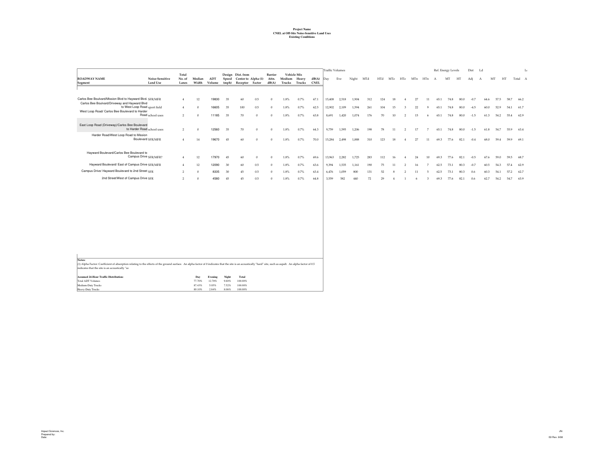|                                                                                                            |                                    |                          |                 |               |                |                                                             |     |                           |                                              |      |                      | <b>Traffic Volumes</b> |       |       |     |     |     |     |     |     |              | Ref. Energy Levels |      | Dist Ld        |      |      |      | L       |
|------------------------------------------------------------------------------------------------------------|------------------------------------|--------------------------|-----------------|---------------|----------------|-------------------------------------------------------------|-----|---------------------------|----------------------------------------------|------|----------------------|------------------------|-------|-------|-----|-----|-----|-----|-----|-----|--------------|--------------------|------|----------------|------|------|------|---------|
| <b>ROADWAY NAME</b><br>Segment                                                                             | Noise-Sensitive<br><b>Land Use</b> | Total<br>No. of<br>Lanes | Median<br>Width | ADT<br>Volume | Speed<br>(mph) | Design Dist. from<br>Center to Alpha (1)<br>Receptor Factor |     | Barrier<br>Attn.<br>dB(A) | Vehicle Mix<br>Medium Heavy<br>Trucks Trucks |      | dB(A)<br><b>CNEL</b> | Day                    | Eve   | Night | MTd | HTd | MTe | HTe | MTn | HTn | $\mathbf{A}$ | MT                 | HT   | Adi            | A    | MT   | HT   | Total A |
|                                                                                                            |                                    |                          |                 |               |                |                                                             |     |                           |                                              |      |                      |                        |       |       |     |     |     |     |     |     |              |                    |      |                |      |      |      |         |
| Carlos Bee Boulvard/Mission Blvd to Hayward Blvd. SFR/MFR<br>Carlos Bee Boulvard/Driveway and Hayward Blvd |                                    |                          | 12              | 19830         | 35             | 60                                                          | 0.5 |                           | 1.8%                                         | 0.7% | 67.1                 | 15,408                 | 2.518 | 1.904 | 312 | 124 |     |     | 27  | 11  | 65.1         | 74.8               | 80.0 | $-0.7$         | 64.6 | 57.5 | 58.7 | 66.2    |
| to West Loop Road sport field<br>West Loop Road/ Carlos Bee Boulevard to Harder                            |                                    |                          | $\theta$        | 16605         | 35             | 100                                                         | 0.5 |                           | 1.8%                                         | 0.7% | 62.5                 | 12,902                 | 2.109 | 1.594 | 261 | 104 | 15  |     | 22  |     | 65.1         | 74.8               | 80.0 | $-4.5$         | 60.0 | 52.9 | 54.1 | 61.7    |
|                                                                                                            | Road school uses                   | $\overline{2}$           | $\Omega$        | 11185         | 35             | 70                                                          |     |                           | 1.8%                                         | 0.7% | 63.8                 | 8.691                  | 1.420 | 1.074 | 176 | 70  | 10  |     |     |     | 65.1         | 74.8               | 80.0 | $-1.5$         | 61.3 | 54.2 | 55.4 | 62.9    |
| East Loop Road (Driveway)/Carlos Bee Boulevard<br>to Harder Road school uses                               |                                    | $\overline{z}$           | $\Omega$        | 12560         | 35             | 70                                                          |     | $\Omega$                  | 1.8%                                         | 0.7% | 64.3                 | 9,759                  | 1.595 | 1.206 | 198 | 78  | 11  |     | 17  |     | 65.1         | 74.8               | 80.0 | $-1.5$         | 61.8 | 54.7 | 55.9 | 63.4    |
| Harder Road/West Loop Road to Mission<br>Boulevard SFR/MFR                                                 |                                    |                          | 14              | 19670         | 45             | 60                                                          |     |                           | 1.8%                                         | 0.7% | 70.0                 | 15.284                 | 2.498 | 1.888 | 310 | 123 |     |     | 27  |     | 69.3         | 77.6               | 82.1 | $-0.4$         | 68.0 | 59.4 | 59.9 | 69.1    |
| Havward Boulevard/Carlos Bee Boulevard to<br>Campus Drive SFR/MFR?                                         |                                    |                          | 12              | 17970         | 45             | 60                                                          |     |                           | 1.8%                                         | 0.7% | 69.6                 | 13,963                 | 2.282 | 1.725 | 283 | 112 |     |     | 24  | 10  | 69.3         | 77.6               | 82.1 | $-0.5$         | 67.6 | 59.0 | 59.5 | 68.7    |
| Hayward Boulevard/ East of Campus Drive SER/MER                                                            |                                    |                          | 12              | 12090         | 30             | 60                                                          | 0.5 | $\Omega$                  | 1.8%                                         | 0.7% | 63.6                 | 9,394                  | 1.535 | 1.161 | 190 | 75  | 11  |     |     |     | 62.5         | 73.1               | 80.3 | $-0.7$         | 60.5 | 54.3 | 57.4 | 62.9    |
| Campus Drive/ Hayward Boulevard to 2nd Street SFR                                                          |                                    | $\overline{2}$           | $\theta$        | 8335          | 30             | 45                                                          | 0.5 | $\Omega$                  | 1.8%                                         | 0.7% | 63.4                 | 6,476                  | 1.059 | 800   | 131 | 52  |     |     |     |     | 62.5         | 73.1               | 80.3 | 0 <sub>6</sub> | 60.3 | 54.1 | 57.2 | 62.7    |
| 2nd Street/West of Campus Drive SFR                                                                        |                                    | $\gamma$                 | $\Omega$        | 4580          | 45             | 4 <sup>2</sup>                                              | 0.5 |                           | 1.8%                                         | 0.7% | 64.8                 | 3,559                  | 582   | 440   | 72  | 29  |     |     |     |     | 69.3         | 776                | 82.1 | 0 <sub>6</sub> | 62.7 | 54.2 | 54.7 | 63.9    |
|                                                                                                            |                                    |                          |                 |               |                |                                                             |     |                           |                                              |      |                      |                        |       |       |     |     |     |     |     |     |              |                    |      |                |      |      |      |         |
|                                                                                                            |                                    |                          |                 |               |                |                                                             |     |                           |                                              |      |                      |                        |       |       |     |     |     |     |     |     |              |                    |      |                |      |      |      |         |
|                                                                                                            |                                    |                          |                 |               |                |                                                             |     |                           |                                              |      |                      |                        |       |       |     |     |     |     |     |     |              |                    |      |                |      |      |      |         |
|                                                                                                            |                                    |                          |                 |               |                |                                                             |     |                           |                                              |      |                      |                        |       |       |     |     |     |     |     |     |              |                    |      |                |      |      |      |         |

| Notes:                                                                                                                                                                                                         |        |         |       |              |
|----------------------------------------------------------------------------------------------------------------------------------------------------------------------------------------------------------------|--------|---------|-------|--------------|
| (1) Alpha Factor: Coefficient of absorption relating to the effects of the ground surface. An alpha factor of 0 indicates that the site is an acoustically "hard" site, such as aspalt. An alpha factor of 0.5 |        |         |       |              |
| indicates that the site is an acoustically "so                                                                                                                                                                 |        |         |       |              |
|                                                                                                                                                                                                                |        |         |       |              |
| Assumed 24-Hour Traffic Distribution:                                                                                                                                                                          | Day    | Evening | Night | <b>Total</b> |
| Total ADT Volumes                                                                                                                                                                                              | 77.70% | 12.70%  | 9.60% | 100.00%      |
| Medium-Duty Trucks                                                                                                                                                                                             | 87.43% | 5.05%   | 7.52% | 100.00%      |
| Heavy-Duty Trucks                                                                                                                                                                                              | 89.10% | 2.84%   | 8.06% | 100.00%      |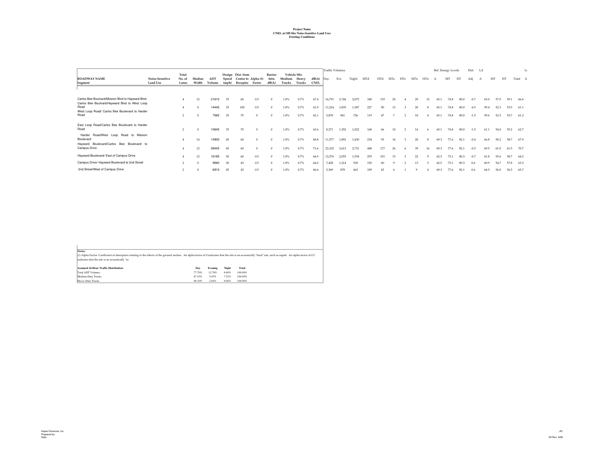|                                                                                                         |                                    | Total           |                 |               |                | Design Dist. from |                     | Barrier        |                  | Vehicle Mix     |                      |        | Traffic Volumes |       |     |     |     |     |     |     |      | Ref. Energy Levels |      | Dist Ld |      |      |      | L       |
|---------------------------------------------------------------------------------------------------------|------------------------------------|-----------------|-----------------|---------------|----------------|-------------------|---------------------|----------------|------------------|-----------------|----------------------|--------|-----------------|-------|-----|-----|-----|-----|-----|-----|------|--------------------|------|---------|------|------|------|---------|
| <b>ROADWAY NAME</b><br>Segment                                                                          | Noise-Sensitive<br><b>Land Use</b> | No. of<br>Lanes | Median<br>Width | ADT<br>Volume | Speed<br>(mph) | Receptor Factor   | Center to Alpha (1) | Attn.<br>dB(A) | Medium<br>Trucks | Heavy<br>Trucks | dB(A)<br><b>CNEL</b> | Day    | Eve             | Night | MTd | HTd | MTe | HTe | MTn | HTn | A    | MT                 | HT   | Adj     | A    | MT   | HT   | Total A |
|                                                                                                         |                                    |                 |                 |               |                |                   |                     |                |                  |                 |                      |        |                 |       |     |     |     |     |     |     |      |                    |      |         |      |      |      |         |
| Carlos Bee Boulvard/Mission Blvd to Hayward Blvd.                                                       |                                    |                 | 12              | 21610         | 35             | 60                | 0.5                 |                | 1.8%             | 0.7%            | 67.4                 | 16,791 | 2,744           | 2,075 | 340 | 135 | 20  |     | 29  | 12  | 65.1 | 74.8               | 80.0 | $-0.7$  | 65.0 | 57.9 | 59.1 | 66.6    |
| Carlos Bee Boulvard/Hayward Blvd to West Loop<br>Road<br>West Loop Road/ Carlos Bee Boulevard to Harder |                                    |                 |                 | 14445         | 35             | 100               | 0.5                 |                | 1.8%             | 0.7%            | 61.9                 | 11,224 | 1,835           | 1,387 | 227 | 90  |     |     | 20  | 8   | 65.1 | 74.8               | 80.0 | $-4.5$  | 59.4 | 52.3 | 53.5 | 61.1    |
| Road                                                                                                    |                                    | $\overline{2}$  |                 | 7565          | 35             | 70                |                     |                | 1.8%             | $0.7\%$         | 62.1                 | 5.878  | 961             | 726   | 119 | 47  |     |     |     |     | 65.1 | 74.8               | 80.0 | $-1.5$  | 59.6 | 52.5 | 53.7 | 61.2    |
| East Loop Road/Carlos Bee Boulevard to Harder<br>Road                                                   |                                    |                 | -O              | 10645         | 35             | 70                | $\Omega$            | $\Omega$       | 1.8%             | 0.7%            | 63.6                 | 8,271  | 1.352           | 1.022 | 168 | 66  | 10  |     |     | 6   | 65.1 | 74.8               | 80.0 | $-1.5$  | 61.1 | 54.0 | 55.2 | 62.7    |
| Road/West Loop Road to Mission<br>Harder<br>Boulevard                                                   |                                    |                 | 14              | 14900         | 45             | 60                |                     |                | 1.8%             | 0.7%            | 68.8                 | 11,577 | 1.892           | 1.430 | 234 | 93  |     |     | 20  | 8   | 69.3 | 77.6               | 82.1 | $-0.4$  | 66.8 | 58.2 | 58.7 | 67.9    |
| Boulevard/Carlos Bee Boulevard to<br>Hayward<br>Campus Drive                                            |                                    | -4              | 12              | 28445         | 45             | 60                |                     |                | 1.8%             | 0.7%            | 71.6                 | 22,102 | 3.613           | 2.731 | 448 | 177 | 26  |     | 39  | 16  | 69.3 | 77.6               | 82.1 | $-0.5$  | 69.5 | 61.0 | 61.5 | 70.7    |
| Hayward Boulevard/ East of Campus Drive                                                                 |                                    |                 | 12              | 16185         | 30             | 60                | 0.5                 |                | 1.8%             | 0.7%            | 64.9                 | 12.576 | 2.055           | 1.554 | 255 |     |     |     | 22  |     |      | 73.1               | 80.3 | $-07$   | 61.8 | 55.6 | 58.7 | 64.2    |
| Campus Drive/ Hayward Boulevard to 2nd Street                                                           |                                    |                 |                 | 9560          | 30             | 45                | 0.5                 |                | 1.8%             | 0.7%            | 64.0                 | 7.428  | 1.214           | 918   | 150 | 60  |     |     |     |     | 62.5 | 73.1               | 80.3 | 0.6     | 60.9 | 547  | 57.8 | 63.2    |
| 2nd Street/West of Campus Drive                                                                         |                                    |                 |                 | 6910          | 45             | 45                | 0.5                 |                | 1.8%             | 0.7%            | 66.6                 | 5,369  | 878             | 663   | 109 | 43  |     |     |     |     | 69.3 | 77.6               | 82.1 | 0.6     | 64.5 | 56.0 | 56.5 | 65.7    |

| Notes:                                                                                                                                                                                                         |        |         |       |              |
|----------------------------------------------------------------------------------------------------------------------------------------------------------------------------------------------------------------|--------|---------|-------|--------------|
| (1) Alpha Factor: Coefficient of absorption relating to the effects of the ground surface. An alpha factor of 0 indicates that the site is an acoustically "hard" site, such as aspalt. An alpha factor of 0.5 |        |         |       |              |
| indicates that the site is an acoustically "so                                                                                                                                                                 |        |         |       |              |
|                                                                                                                                                                                                                |        |         |       |              |
| <b>Assumed 24-Hour Traffic Distribution:</b>                                                                                                                                                                   | Dav    | Evening | Night | <b>Total</b> |
| Total ADT Volumes                                                                                                                                                                                              | 77.70% | 12.70%  | 9.60% | 100.00%      |
| Medium-Duty Trucks                                                                                                                                                                                             | 87.43% | 5.05%   | 7.52% | 100.00%      |
| Heavy-Duty Trucks                                                                                                                                                                                              | 89.10% | 2.84%   | 8.06% | 100.00%      |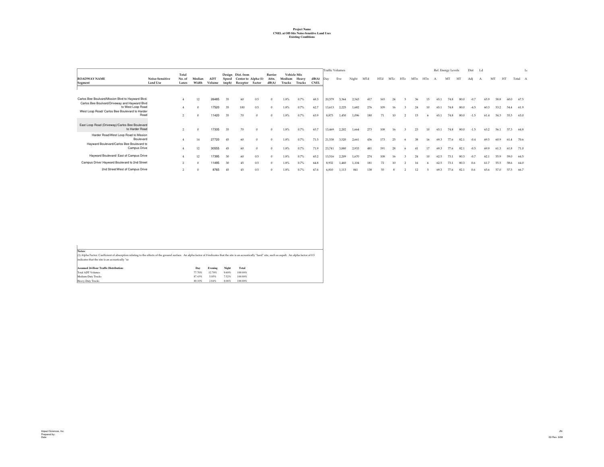|                                                                    |                                    |                          |                 |               |       |                                                                   |          |                           |                             |               |                      | <b>Traffic Volumes</b> |       |       |     |     |     |               |     |           |              | Ref. Energy Levels |      | Dist Ld |              |      |      | L         |  |
|--------------------------------------------------------------------|------------------------------------|--------------------------|-----------------|---------------|-------|-------------------------------------------------------------------|----------|---------------------------|-----------------------------|---------------|----------------------|------------------------|-------|-------|-----|-----|-----|---------------|-----|-----------|--------------|--------------------|------|---------|--------------|------|------|-----------|--|
| <b>ROADWAY NAME</b><br>Segment                                     | Noise-Sensitive<br><b>Land Use</b> | Total<br>No. of<br>Lanes | Median<br>Width | ADT<br>Volume | Speed | Design Dist. from<br>Center to Alpha (1)<br>(mph) Receptor Factor |          | Barrier<br>Attn.<br>dB(A) | Vehicle Mix<br>Medium Heavy | Trucks Trucks | dB(A)<br><b>CNEL</b> | Dav                    | Eve   | Night | MTd | HTd | MTe | HTe           | MTn | HTn       | $\mathbf{A}$ | MT                 | HT   | Adj     | $\mathbf{A}$ | MT   | HT   | Total A   |  |
|                                                                    |                                    |                          |                 |               |       |                                                                   |          |                           |                             |               |                      |                        |       |       |     |     |     |               |     |           |              |                    |      |         |              |      |      |           |  |
| Carlos Bee Boulvard/Mission Blvd to Hayward Blvd.                  |                                    | $\overline{4}$           | 12              | 26485         | 35    | 60                                                                | 0.5      | $\Omega$                  | 1.8%                        | 0.7%          | 68.3                 | 20,579                 | 3.364 | 2,543 | 417 | 165 | 24  |               | 36  | 15        | 65.1         | 74.8               | 80.0 | $-0.7$  | 65.9         | 58.8 | 60.0 | 67.5      |  |
| Carlos Bee Boulvard/Driveway and Hayward Blvd<br>to West Loop Road |                                    | $\overline{4}$           | $\Omega$        | 17520         | 35    | 100                                                               | 0.5      | $\theta$                  | 1.8%                        | 0.7%          | 62.7                 | 13,613                 | 2,225 | 1.682 | 276 | 109 | 16  |               | 24  | 10        | 65.1         | 74.8               | 80.0 | $-4.5$  | 60.3         | 53.2 |      | 54.4 61.9 |  |
| West Loop Road/ Carlos Bee Boulevard to Harder<br>Road             |                                    | $\overline{2}$           | $\Omega$        | 11420         | 35    | 70                                                                | $\Omega$ | $\Omega$                  | $1.8\%$                     | 0.7%          | 63.9                 | 8.873                  | 1.450 | 1,096 | 180 | 71  | 10  | $\mathcal{L}$ | 15  | 6         | 65.1         | 74.8               | 80.0 | $-1.5$  | 61.4         | 54.3 | 55.5 | 63.0      |  |
| East Loop Road (Driveway)/Carlos Bee Boulevard                     |                                    |                          |                 |               |       |                                                                   |          |                           |                             |               |                      |                        |       |       |     |     |     |               |     |           |              |                    |      |         |              |      |      |           |  |
| to Harder Road                                                     |                                    | $\overline{2}$           | $\Omega$        | 17335         | 35    | 70                                                                | $\Omega$ | $\Omega$                  | 1.8%                        | 0.7%          | 65.7                 | 13,469                 | 2,202 | 1.664 | 273 | 108 | 16  |               | 23  | 10        | 65.1         | 74.8               | 80.0 | $-1.5$  | 63.2         | 56.1 | 57.3 | 64.8      |  |
| Harder Road/West Loop Road to Mission<br>Boulevard                 |                                    | $\overline{4}$           | 14              | 27720         | 45    | 60                                                                | $\Omega$ | $\Omega$                  | 1.8%                        | 0.7%          | 71.5                 | 21,538                 | 3,520 | 2,661 | 436 | 173 | 25  |               | 38  | 16        | 69.3         | 77.6               | 82.1 | $-0.4$  | 69.5         | 60.9 |      | 61.4 70.6 |  |
| Hayward Boulevard/Carlos Bee Boulevard to<br>Campus Drive          |                                    | $\overline{4}$           | 12              | 30555         | 45    | 60                                                                | $\theta$ | $\Omega$                  | 1.8%                        | 0.7%          | 71.9                 | 23,741                 | 3.880 | 2,933 | 481 | 191 | 28  |               | 41  | 17        | 69.3         | 77.6               | 82.1 | $-0.5$  | 69.9         | 61.3 |      | 61.8 71.0 |  |
| Hayward Boulevard/ East of Campus Drive                            |                                    | $\overline{4}$           | 12              | 17395         | 30    | 60                                                                | 0.5      | $\Omega$                  | 1.8%                        | 0.7%          | 65.2                 | 13,516                 | 2,209 | 1.670 | 274 | 108 | 16  |               | 24  | 10        | 62.5         | 73.1               | 80.3 | $-0.7$  | 62.1         | 55.9 | 59.0 | 64.5      |  |
| Campus Drive/ Hayward Boulevard to 2nd Street                      |                                    | $\mathcal{P}$            | $\Omega$        | 11495         | 30    | 45                                                                | 0.5      | $\Omega$                  | 1.8%                        | 0.7%          | 64.8                 | 8.932                  | 1.460 | 1.104 | 181 | 72  | 10  |               | 16  |           | 62.5         | 73.1               | 80.3 | 0.6     | 61.7         | 55.5 | 58.6 | 64.0      |  |
| 2nd Street/West of Campus Drive                                    |                                    | $\overline{2}$           | $\Omega$        | 8765          | 45    | 45                                                                | 0.5      |                           | 1.8%                        | 0.7%          | 67.6                 | 6.810                  | 1.113 | 841   | 138 | 55  |     |               | 12  | $\bar{a}$ | 69.3         | 77.6               | 82.1 | 0.6     | 65.6         | 57.0 | 57.5 | 66.7      |  |
|                                                                    |                                    |                          |                 |               |       |                                                                   |          |                           |                             |               |                      |                        |       |       |     |     |     |               |     |           |              |                    |      |         |              |      |      |           |  |
|                                                                    |                                    |                          |                 |               |       |                                                                   |          |                           |                             |               |                      |                        |       |       |     |     |     |               |     |           |              |                    |      |         |              |      |      |           |  |
|                                                                    |                                    |                          |                 |               |       |                                                                   |          |                           |                             |               |                      |                        |       |       |     |     |     |               |     |           |              |                    |      |         |              |      |      |           |  |
|                                                                    |                                    |                          |                 |               |       |                                                                   |          |                           |                             |               |                      |                        |       |       |     |     |     |               |     |           |              |                    |      |         |              |      |      |           |  |
|                                                                    |                                    |                          |                 |               |       |                                                                   |          |                           |                             |               |                      |                        |       |       |     |     |     |               |     |           |              |                    |      |         |              |      |      |           |  |
|                                                                    |                                    |                          |                 |               |       |                                                                   |          |                           |                             |               |                      |                        |       |       |     |     |     |               |     |           |              |                    |      |         |              |      |      |           |  |
|                                                                    |                                    |                          |                 |               |       |                                                                   |          |                           |                             |               |                      |                        |       |       |     |     |     |               |     |           |              |                    |      |         |              |      |      |           |  |

| Notes:                                                                                                                                                                                                         |        |         |       |              |
|----------------------------------------------------------------------------------------------------------------------------------------------------------------------------------------------------------------|--------|---------|-------|--------------|
| [1) Alpha Factor: Coefficient of absorption relating to the effects of the ground surface. An alpha factor of 0 indicates that the site is an acoustically "hard" site, such as aspalt. An alpha factor of 0.5 |        |         |       |              |
| indicates that the site is an acoustically "so                                                                                                                                                                 |        |         |       |              |
|                                                                                                                                                                                                                |        |         |       |              |
| Assumed 24-Hour Traffic Distribution:                                                                                                                                                                          | Dav    | Evening | Night | <b>Total</b> |
| Total ADT Volumes                                                                                                                                                                                              | 77.70% | 12.70%  | 9.60% | 100.00%      |
| Medium-Duty Trucks                                                                                                                                                                                             | 87.43% | 5.05%   | 7.52% | 100.00%      |
| Heavy-Duty Trucks                                                                                                                                                                                              | 89.10% | 2.84%   | 8.06% | 100.00%      |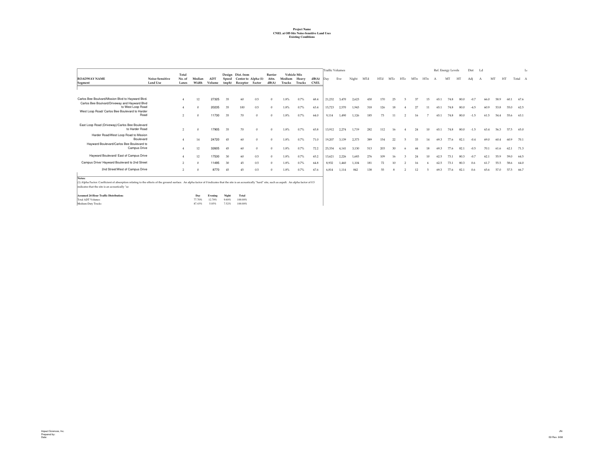|                                                                    |                                                                                                                                                                                                                |                          |                 |               |                |                                                             |     |                           |                  |                                |                      |        | <b>Traffic Volumes</b> |       |     |     |     |     |     |                 |      | Ref. Energy Levels |      | Dist Ld |      |      |      | L     |
|--------------------------------------------------------------------|----------------------------------------------------------------------------------------------------------------------------------------------------------------------------------------------------------------|--------------------------|-----------------|---------------|----------------|-------------------------------------------------------------|-----|---------------------------|------------------|--------------------------------|----------------------|--------|------------------------|-------|-----|-----|-----|-----|-----|-----------------|------|--------------------|------|---------|------|------|------|-------|
| <b>ROADWAY NAME</b><br>Segment                                     | Noise-Sensitive<br><b>Land Use</b>                                                                                                                                                                             | Total<br>No. of<br>Lanes | Median<br>Width | ADT<br>Volume | Speed<br>(mph) | Design Dist. from<br>Center to Alpha (1)<br>Receptor Factor |     | Barrier<br>Attn.<br>dB(A) | Medium<br>Trucks | Vehicle Mix<br>Heavy<br>Trucks | dB(A)<br><b>CNEL</b> | Dav    | Eve                    | Night | MTd | HTd | MTe | HTe | MTn | HTn             |      | MT                 | HT   | Adi     | A    | MT   | HT   | Total |
|                                                                    |                                                                                                                                                                                                                |                          |                 |               |                |                                                             |     |                           |                  |                                |                      |        |                        |       |     |     |     |     |     |                 |      |                    |      |         |      |      |      |       |
| Carlos Bee Boulvard/Mission Blvd to Havward Blvd.                  |                                                                                                                                                                                                                |                          | 12              | 27325         | 35             | 60                                                          | 0.5 |                           | 1.8%             | 0.7%                           | 68.4                 | 21,232 | 3.470                  | 2.623 | 430 | 170 | 25  |     | 37  | 15              | 65.  | 74.8               | 80.0 | $-0.7$  | 66.0 | 58.9 | 60.1 | 67.6  |
| Carlos Bee Boulvard/Driveway and Hayward Blvd<br>to West Loop Road |                                                                                                                                                                                                                |                          | $\Omega$        | 20235         | 35             | 100                                                         | 0.5 | $\Omega$                  | 1.8%             | 0.7%                           | 63.4                 | 15,723 | 2.570                  | 1.943 | 318 | 126 | 18  |     | 27  |                 | 65.1 | 74.8               | 80.0 | $-4.5$  | 60.9 | 53.8 | 55.0 | 62.5  |
| West Loop Road/ Carlos Bee Boulevard to Harder<br>Road             |                                                                                                                                                                                                                | $\overline{2}$           | $\Omega$        | 11730         | 35             | 70                                                          | O   | $\Omega$                  | 1.8%             | 0.7%                           | 64.0                 | 9,114  | 1.490                  | 1.126 | 185 | 73  | 11  |     |     |                 | 65.  | 74.8               | 80.0 | $-1.5$  | 61.5 | 54.4 | 55.6 | 63.1  |
| East Loop Road (Driveway)/Carlos Bee Boulevard<br>to Harder Road   |                                                                                                                                                                                                                |                          | $\Omega$        | 17905         | 35             | 70                                                          |     | $\Omega$                  | 1.8%             | 0.7%                           | 65.8                 | 13.912 | 2.274                  | 1.719 | 282 | 112 | 16  |     | 24  | 10 <sup>°</sup> | 65.1 | 74.8               | 80.0 | $-1.5$  | 63.4 | 56.3 | 57.5 | 65.0  |
| Harder Road/West Loop Road to Mission<br>Boulevard                 |                                                                                                                                                                                                                |                          | 14              | 24720         | 45             | 60                                                          |     |                           | 1.8%             | 0.7%                           | 71.0                 | 19,207 | 3.139                  | 2,373 | 389 | 154 | 22  |     | 33  | 14              | 69.3 | 77.6               | 82.1 | $-0.4$  | 69.0 | 60.4 | 60.9 | 70.1  |
| Hayward Boulevard/Carlos Bee Boulevard to<br>Campus Drive          |                                                                                                                                                                                                                |                          | 12              | 32605         | 45             | 60                                                          | O   | $\Omega$                  | 1.8%             | 0.7%                           | 72.2                 | 25,334 | 4.141                  | 3.130 | 513 | 203 | 30  |     | 44  | 18              | 69.3 | 77.6               | 82.1 | $-0.5$  | 70.1 | 61.6 | 62.1 | 71.3  |
| Hayward Boulevard/ East of Campus Drive                            |                                                                                                                                                                                                                |                          | 12              | 17530         | 30             | 60                                                          | 0.5 |                           | 1.8%             | 0.7%                           | 65.2                 | 13.621 | 2.226                  | 1.683 | 276 | 109 |     |     |     |                 |      | 73.1               | 80.3 | $-07$   | 62.1 | 55.9 | 59.0 | 64.5  |
| Campus Drive/ Hayward Boulevard to 2nd Street                      |                                                                                                                                                                                                                |                          | $\Omega$        | 11495         | 30             | 45                                                          | 0.5 |                           | 1.8%             | 0.7%                           | 64.8                 | 8,932  | 1.460                  | 1.104 | 181 | 72  |     |     |     |                 |      | 731                | 80.3 |         | 61.7 | 55.5 | 58.6 | 64.0  |
| 2nd Street/West of Campus Drive                                    |                                                                                                                                                                                                                |                          |                 | 8770          | 45             | 45                                                          | 0.5 |                           | 1.8%             | 0.7%                           | 67.6                 | 6.814  | 1.114                  | 842   | 138 | 55  |     |     |     |                 | 69.3 | 77.6               | 82.1 | 0.6     | 65.6 | 57.0 | 57.5 | 66.7  |
| Notes:<br>indicates that the site is an acoustically "so           | (1) Alpha Factor: Coefficient of absorption relating to the effects of the ground surface. An alpha factor of 0 indicates that the site is an acoustically "hard" site, such as aspalt. An alpha factor of 0.5 |                          |                 |               |                |                                                             |     |                           |                  |                                |                      |        |                        |       |     |     |     |     |     |                 |      |                    |      |         |      |      |      |       |

| <b>Assumed 24-Hour Traffic Distribution:</b> | Dav    | Evening | Night | <b>Total</b> |
|----------------------------------------------|--------|---------|-------|--------------|
| Total ADT Volumes                            | 77.70% | 12.70%  | 9.60% | 100.00%      |
| Medium-Duty Trucks                           | 87 43% | 5.05%   | 752%  | 100.00%      |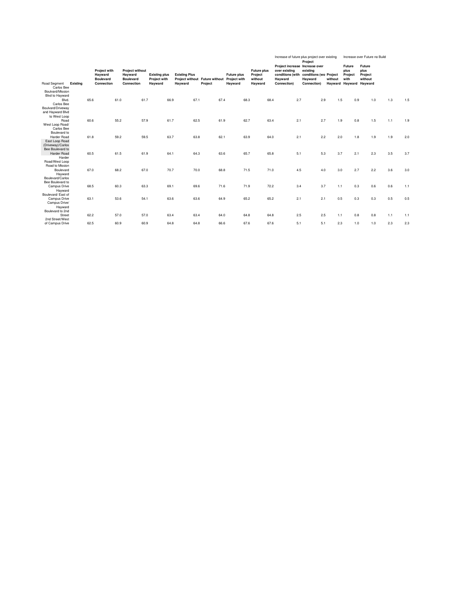|                                      |          |      |                                             |      |                                                       |                                      |      |                      |      |                                |                                    |      |                                          |                                                                                |     | Increase of future plus project over existing<br>Project |         |                                   | Increase over Future no Build        |     |     |
|--------------------------------------|----------|------|---------------------------------------------|------|-------------------------------------------------------|--------------------------------------|------|----------------------|------|--------------------------------|------------------------------------|------|------------------------------------------|--------------------------------------------------------------------------------|-----|----------------------------------------------------------|---------|-----------------------------------|--------------------------------------|-----|-----|
|                                      |          |      | Project with<br>Hayward<br><b>Boulevard</b> |      | <b>Project without</b><br>Hayward<br><b>Boulevard</b> | <b>Existing plus</b><br>Project with |      | <b>Existing Plus</b> |      | Project without Future without | <b>Future plus</b><br>Project with |      | <b>Future plus</b><br>Project<br>without | Project increase Increase over<br>over existing<br>conditions (with<br>Hayward |     | existina<br>conditions (wo Project<br>Hayward            | without | Future<br>plus<br>Project<br>with | Future<br>plus<br>Project<br>without |     |     |
| Road Segment<br>Carlos Bee           | Existing |      | Connection                                  |      | Connection                                            | Hayward                              |      | Hayward              |      | Project                        | Hayward                            |      | Hayward                                  | Connection)                                                                    |     | Connection)                                              |         | Hayward Hayward                   | Havward                              |     |     |
| Boulvard/Mission                     |          |      |                                             |      |                                                       |                                      |      |                      |      |                                |                                    |      |                                          |                                                                                |     |                                                          |         |                                   |                                      |     |     |
| Blvd to Hayward                      |          |      |                                             |      |                                                       |                                      |      |                      |      |                                |                                    |      |                                          |                                                                                |     |                                                          |         |                                   |                                      |     |     |
| Blvd.                                |          | 65.6 |                                             | 61.0 |                                                       | 61.7                                 | 66.9 |                      | 67.1 | 67.4                           |                                    | 68.3 | 68.4                                     |                                                                                | 2.7 | 2.9                                                      | 1.5     | 0.9                               | 1.0                                  | 1.3 | 1.5 |
| Carlos Bee<br>Boulvard/Driveway      |          |      |                                             |      |                                                       |                                      |      |                      |      |                                |                                    |      |                                          |                                                                                |     |                                                          |         |                                   |                                      |     |     |
| and Hayward Blvd                     |          |      |                                             |      |                                                       |                                      |      |                      |      |                                |                                    |      |                                          |                                                                                |     |                                                          |         |                                   |                                      |     |     |
| to West Loop                         |          |      |                                             |      |                                                       |                                      |      |                      |      |                                |                                    |      |                                          |                                                                                |     |                                                          |         |                                   |                                      |     |     |
| Road                                 |          | 60.6 |                                             | 55.2 |                                                       | 57.9                                 | 61.7 |                      | 62.5 | 61.9                           |                                    | 62.7 | 63.4                                     |                                                                                | 2.1 | 2.7                                                      | 1.9     | 0.8                               | 1.5                                  | 1.1 | 1.9 |
| West Loop Road/<br>Carlos Bee        |          |      |                                             |      |                                                       |                                      |      |                      |      |                                |                                    |      |                                          |                                                                                |     |                                                          |         |                                   |                                      |     |     |
| Boulevard to                         |          |      |                                             |      |                                                       |                                      |      |                      |      |                                |                                    |      |                                          |                                                                                |     |                                                          |         |                                   |                                      |     |     |
| Harder Road                          |          | 61.8 |                                             | 59.2 |                                                       | 59.5                                 | 63.7 |                      | 63.8 | 62.1                           |                                    | 63.9 | 64.0                                     |                                                                                | 2.1 | 2.2                                                      | 2.0     | 1.8                               | 1.9                                  | 1.9 | 2.0 |
| East Loop Road                       |          |      |                                             |      |                                                       |                                      |      |                      |      |                                |                                    |      |                                          |                                                                                |     |                                                          |         |                                   |                                      |     |     |
| (Driveway)/Carlos                    |          |      |                                             |      |                                                       |                                      |      |                      |      |                                |                                    |      |                                          |                                                                                |     |                                                          |         |                                   |                                      |     |     |
| Bee Boulevard to<br>Harder Road      |          | 60.5 |                                             | 61.5 |                                                       | 61.9                                 | 64.1 |                      | 64.3 | 63.6                           |                                    | 65.7 | 65.8                                     |                                                                                | 5.1 | 5.3                                                      | 3.7     | 2.1                               | 2.3                                  | 3.5 | 3.7 |
| Harder                               |          |      |                                             |      |                                                       |                                      |      |                      |      |                                |                                    |      |                                          |                                                                                |     |                                                          |         |                                   |                                      |     |     |
| Road/West Loop                       |          |      |                                             |      |                                                       |                                      |      |                      |      |                                |                                    |      |                                          |                                                                                |     |                                                          |         |                                   |                                      |     |     |
| Road to Mission                      |          |      |                                             |      |                                                       |                                      |      |                      |      |                                |                                    |      |                                          |                                                                                |     |                                                          |         |                                   |                                      |     |     |
| Boulevard                            |          | 67.0 |                                             | 68.2 |                                                       | 67.0                                 | 70.7 |                      | 70.0 | 68.8                           |                                    | 71.5 | 71.0                                     |                                                                                | 4.5 | 4.0                                                      | 3.0     | 2.7                               | 2.2                                  | 3.6 | 3.0 |
| Havward<br>Boulevard/Carlos          |          |      |                                             |      |                                                       |                                      |      |                      |      |                                |                                    |      |                                          |                                                                                |     |                                                          |         |                                   |                                      |     |     |
| Bee Boulevard to                     |          |      |                                             |      |                                                       |                                      |      |                      |      |                                |                                    |      |                                          |                                                                                |     |                                                          |         |                                   |                                      |     |     |
| <b>Campus Drive</b>                  |          | 68.5 |                                             | 60.3 |                                                       | 63.3                                 | 69.1 |                      | 69.6 | 71.6                           |                                    | 71.9 | 72.2                                     |                                                                                | 3.4 | 3.7                                                      | 1.1     | 0.3                               | 0.6                                  | 0.6 | 1.1 |
| Hayward                              |          |      |                                             |      |                                                       |                                      |      |                      |      |                                |                                    |      |                                          |                                                                                |     |                                                          |         |                                   |                                      |     |     |
| Boulevard/East of                    |          |      |                                             |      |                                                       |                                      |      |                      |      |                                |                                    |      |                                          |                                                                                |     |                                                          |         |                                   |                                      |     |     |
| <b>Campus Drive</b><br>Campus Drive/ |          | 63.1 |                                             | 53.6 |                                                       | 54.1                                 | 63.6 |                      | 63.6 | 64.9                           |                                    | 65.2 | 65.2                                     |                                                                                | 2.1 | 2.1                                                      | 0.5     | 0.3                               | 0.3                                  | 0.5 | 0.5 |
| Hayward                              |          |      |                                             |      |                                                       |                                      |      |                      |      |                                |                                    |      |                                          |                                                                                |     |                                                          |         |                                   |                                      |     |     |
| Boulevard to 2nd                     |          |      |                                             |      |                                                       |                                      |      |                      |      |                                |                                    |      |                                          |                                                                                |     |                                                          |         |                                   |                                      |     |     |
| Street                               |          | 62.2 |                                             | 57.0 |                                                       | 57.0                                 | 63.4 |                      | 63.4 | 64.0                           |                                    | 64.8 | 64.8                                     |                                                                                | 2.5 | 2.5                                                      | 1.1     | 0.8                               | 0.8                                  | 1.1 | 1.1 |
| 2nd Street/West                      |          |      |                                             |      |                                                       |                                      |      |                      |      |                                |                                    |      |                                          |                                                                                |     |                                                          |         |                                   |                                      |     |     |
| of Campus Drive                      |          | 62.5 |                                             | 60.9 |                                                       | 60.9                                 | 64.8 |                      | 64.8 | 66.6                           |                                    | 67.6 | 67.6                                     |                                                                                | 5.1 | 5.1                                                      | 2.3     | 1.0                               | 1.0                                  | 2.3 | 2.3 |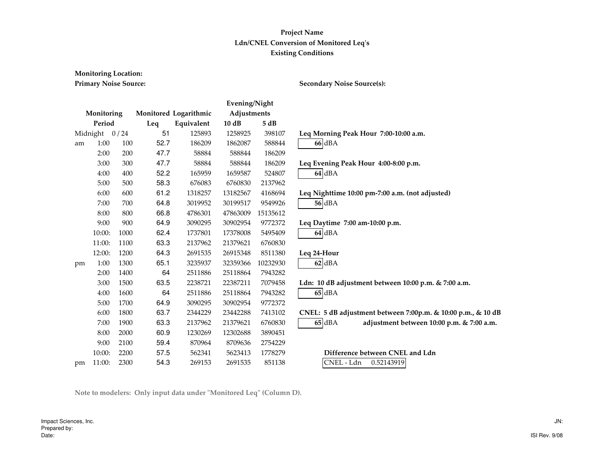#### Primary Noise Source: Monitoring Location:

Midnight 0/24

pm 11:00:

pm

am

|   | Monitoring    |      |      | Monitored Logarithmic | Evening/Night<br>Adjustments |          |                                                              |
|---|---------------|------|------|-----------------------|------------------------------|----------|--------------------------------------------------------------|
|   | Period        |      | Leq  | Equivalent            | 10 dB                        | 5 dB     |                                                              |
|   | lidnight 0/24 |      | 51   | 125893                | 1258925                      | 398107   | Leq Morning Peak Hour 7:00-10:00 a.m.                        |
| m | 1:00          | 100  | 52.7 | 186209                | 1862087                      | 588844   | 66 dBA                                                       |
|   | 2:00          | 200  | 47.7 | 58884                 | 588844                       | 186209   |                                                              |
|   | 3:00          | 300  | 47.7 | 58884                 | 588844                       | 186209   | Leq Evening Peak Hour 4:00-8:00 p.m.                         |
|   | 4:00          | 400  | 52.2 | 165959                | 1659587                      | 524807   | 64 dBA                                                       |
|   | 5:00          | 500  | 58.3 | 676083                | 6760830                      | 2137962  |                                                              |
|   | 6:00          | 600  | 61.2 | 1318257               | 13182567                     | 4168694  | Leq Nighttime 10:00 pm-7:00 a.m. (not adjusted)              |
|   | 7:00          | 700  | 64.8 | 3019952               | 30199517                     | 9549926  | 56 dBA                                                       |
|   | 8:00          | 800  | 66.8 | 4786301               | 47863009                     | 15135612 |                                                              |
|   | 9:00          | 900  | 64.9 | 3090295               | 30902954                     | 9772372  | Leq Daytime 7:00 am-10:00 p.m.                               |
|   | 10:00:        | 1000 | 62.4 | 1737801               | 17378008                     | 5495409  | 64 dBA                                                       |
|   | 11:00:        | 1100 | 63.3 | 2137962               | 21379621                     | 6760830  |                                                              |
|   | 12:00:        | 1200 | 64.3 | 2691535               | 26915348                     | 8511380  | Leq 24-Hour                                                  |
| m | 1:00          | 1300 | 65.1 | 3235937               | 32359366                     | 10232930 | 62 dBA                                                       |
|   | 2:00          | 1400 | 64   | 2511886               | 25118864                     | 7943282  |                                                              |
|   | 3:00          | 1500 | 63.5 | 2238721               | 22387211                     | 7079458  | Ldn: 10 dB adjustment between 10:00 p.m. & 7:00 a.m.         |
|   | 4:00          | 1600 | 64   | 2511886               | 25118864                     | 7943282  | 65 dBA                                                       |
|   | 5:00          | 1700 | 64.9 | 3090295               | 30902954                     | 9772372  |                                                              |
|   | 6:00          | 1800 | 63.7 | 2344229               | 23442288                     | 7413102  | CNEL: 5 dB adjustment between 7:00p.m. & 10:00 p.m., & 10 dB |
|   | 7:00          | 1900 | 63.3 | 2137962               | 21379621                     | 6760830  | 65 dBA<br>adjustment between 10:00 p.m. & 7:00 a.m.          |
|   | 8:00          | 2000 | 60.9 | 1230269               | 12302688                     | 3890451  |                                                              |
|   | 9:00          | 2100 | 59.4 | 870964                | 8709636                      | 2754229  |                                                              |
|   | 10:00:        | 2200 | 57.5 | 562341                | 5623413                      | 1778279  | Difference between CNEL and Ldn                              |
| m | 11:00:        | 2300 | 54.3 | 269153                | 2691535                      | 851138   | CNEL - Ldn<br>0.52143919                                     |

Note to modelers: Only input data under "Monitored Leq" (Column D).

#### Secondary Noise Source(s):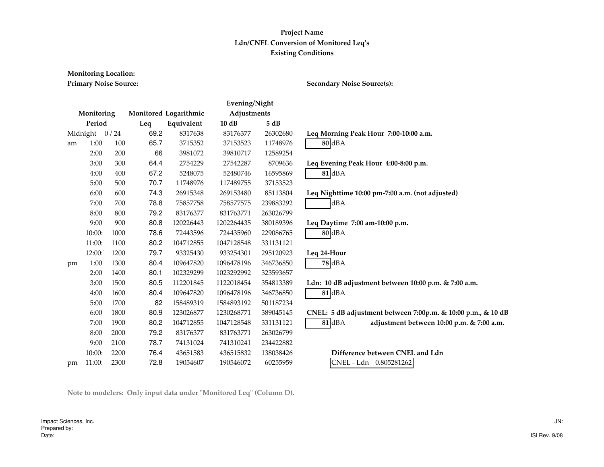### Primary Noise Source: Monitoring Location:

|    |            |      |      |                       | Evening/Night |           |                                                              |
|----|------------|------|------|-----------------------|---------------|-----------|--------------------------------------------------------------|
|    | Monitoring |      |      | Monitored Logarithmic | Adjustments   |           |                                                              |
|    | Period     |      | Leq  | Equivalent            | 10dB          | 5dB       |                                                              |
|    | Midnight   | 0/24 | 69.2 | 8317638               | 83176377      | 26302680  | Leq Morning Peak Hour 7:00-10:00 a.m.                        |
| am | 1:00       | 100  | 65.7 | 3715352               | 37153523      | 11748976  | 80 dBA                                                       |
|    | 2:00       | 200  | 66   | 3981072               | 39810717      | 12589254  |                                                              |
|    | 3:00       | 300  | 64.4 | 2754229               | 27542287      | 8709636   | Leq Evening Peak Hour 4:00-8:00 p.m.                         |
|    | 4:00       | 400  | 67.2 | 5248075               | 52480746      | 16595869  | 81 dBA                                                       |
|    | 5:00       | 500  | 70.7 | 11748976              | 117489755     | 37153523  |                                                              |
|    | 6:00       | 600  | 74.3 | 26915348              | 269153480     | 85113804  | Leq Nighttime 10:00 pm-7:00 a.m. (not adjusted)              |
|    | 7:00       | 700  | 78.8 | 75857758              | 758577575     | 239883292 | dBA                                                          |
|    | 8:00       | 800  | 79.2 | 83176377              | 831763771     | 263026799 |                                                              |
|    | 9:00       | 900  | 80.8 | 120226443             | 1202264435    | 380189396 | Leq Daytime 7:00 am-10:00 p.m.                               |
|    | 10:00:     | 1000 | 78.6 | 72443596              | 724435960     | 229086765 | 80 dBA                                                       |
|    | 11:00:     | 1100 | 80.2 | 104712855             | 1047128548    | 331131121 |                                                              |
|    | 12:00:     | 1200 | 79.7 | 93325430              | 933254301     | 295120923 | Leq 24-Hour                                                  |
| pm | 1:00       | 1300 | 80.4 | 109647820             | 1096478196    | 346736850 | 78 dBA                                                       |
|    | 2:00       | 1400 | 80.1 | 102329299             | 1023292992    | 323593657 |                                                              |
|    | 3:00       | 1500 | 80.5 | 112201845             | 1122018454    | 354813389 | Ldn: 10 dB adjustment between 10:00 p.m. & 7:00 a.m.         |
|    | 4:00       | 1600 | 80.4 | 109647820             | 1096478196    | 346736850 | 81 dBA                                                       |
|    | 5:00       | 1700 | 82   | 158489319             | 1584893192    | 501187234 |                                                              |
|    | 6:00       | 1800 | 80.9 | 123026877             | 1230268771    | 389045145 | CNEL: 5 dB adjustment between 7:00p.m. & 10:00 p.m., & 10 dB |
|    | 7:00       | 1900 | 80.2 | 104712855             | 1047128548    | 331131121 | 81 dBA<br>adjustment between 10:00 p.m. & 7:00 a.m.          |
|    | 8:00       | 2000 | 79.2 | 83176377              | 831763771     | 263026799 |                                                              |
|    | 9:00       | 2100 | 78.7 | 74131024              | 741310241     | 234422882 |                                                              |
|    | 10:00:     | 2200 | 76.4 | 43651583              | 436515832     | 138038426 | Difference between CNEL and Ldn                              |
| pm | 11:00:     | 2300 | 72.8 | 19054607              | 190546072     | 60255959  | CNEL - Ldn 0.805281262                                       |

Note to modelers: Only input data under "Monitored Leq" (Column D).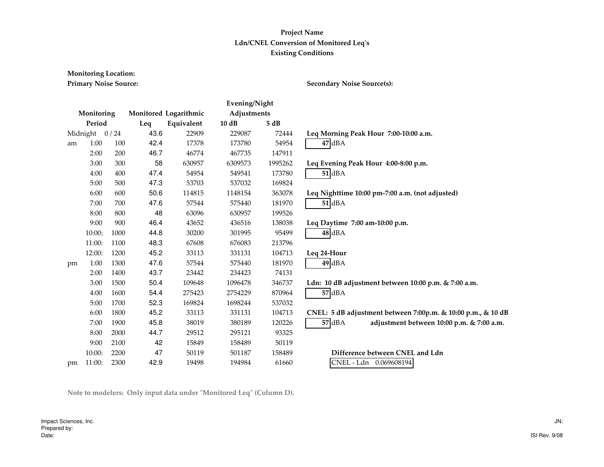### Primary Noise Source: Monitoring Location:

### Secondary Noise Source(s):

|    |               |      |      |                       | Evening/Night |         |                                                              |
|----|---------------|------|------|-----------------------|---------------|---------|--------------------------------------------------------------|
|    | Monitoring    |      |      | Monitored Logarithmic | Adjustments   |         |                                                              |
|    | Period        |      | Leq  | Equivalent            | 10dB          | 5 dB    |                                                              |
|    | Midnight 0/24 |      | 43.6 | 22909                 | 229087        | 72444   | Leq Morning Peak Hour 7:00-10:00 a.m.                        |
| am | 1:00          | 100  | 42.4 | 17378                 | 173780        | 54954   | 47 dBA                                                       |
|    | 2:00          | 200  | 46.7 | 46774                 | 467735        | 147911  |                                                              |
|    | 3:00          | 300  | 58   | 630957                | 6309573       | 1995262 | Leq Evening Peak Hour 4:00-8:00 p.m.                         |
|    | 4:00          | 400  | 47.4 | 54954                 | 549541        | 173780  | 51 dBA                                                       |
|    | 5:00          | 500  | 47.3 | 53703                 | 537032        | 169824  |                                                              |
|    | 6:00          | 600  | 50.6 | 114815                | 1148154       | 363078  | Leq Nighttime 10:00 pm-7:00 a.m. (not adjusted)              |
|    | 7:00          | 700  | 47.6 | 57544                 | 575440        | 181970  | 51 dBA                                                       |
|    | 8:00          | 800  | 48   | 63096                 | 630957        | 199526  |                                                              |
|    | 9:00          | 900  | 46.4 | 43652                 | 436516        | 138038  | Leq Daytime 7:00 am-10:00 p.m.                               |
|    | 10:00:        | 1000 | 44.8 | 30200                 | 301995        | 95499   | 48 dBA                                                       |
|    | 11:00:        | 1100 | 48.3 | 67608                 | 676083        | 213796  |                                                              |
|    | 12:00:        | 1200 | 45.2 | 33113                 | 331131        | 104713  | Leq 24-Hour                                                  |
| pm | 1:00          | 1300 | 47.6 | 57544                 | 575440        | 181970  | 49 dBA                                                       |
|    | 2:00          | 1400 | 43.7 | 23442                 | 234423        | 74131   |                                                              |
|    | 3:00          | 1500 | 50.4 | 109648                | 1096478       | 346737  | Ldn: 10 dB adjustment between 10:00 p.m. & 7:00 a.m.         |
|    | 4:00          | 1600 | 54.4 | 275423                | 2754229       | 870964  | 57 dBA                                                       |
|    | 5:00          | 1700 | 52.3 | 169824                | 1698244       | 537032  |                                                              |
|    | 6:00          | 1800 | 45.2 | 33113                 | 331131        | 104713  | CNEL: 5 dB adjustment between 7:00p.m. & 10:00 p.m., & 10 dB |
|    | 7:00          | 1900 | 45.8 | 38019                 | 380189        | 120226  | 57 dBA<br>adjustment between 10:00 p.m. & 7:00 a.m.          |
|    | 8:00          | 2000 | 44.7 | 29512                 | 295121        | 93325   |                                                              |
|    | 9:00          | 2100 | 42   | 15849                 | 158489        | 50119   |                                                              |
|    | 10:00:        | 2200 | 47   | 50119                 | 501187        | 158489  | Difference between CNEL and Ldn                              |
| pm | 11:00:        | 2300 | 42.9 | 19498                 | 194984        | 61660   | CNEL - Ldn 0.069608194                                       |

Note to modelers: Only input data under "Monitored Leq" (Column D).